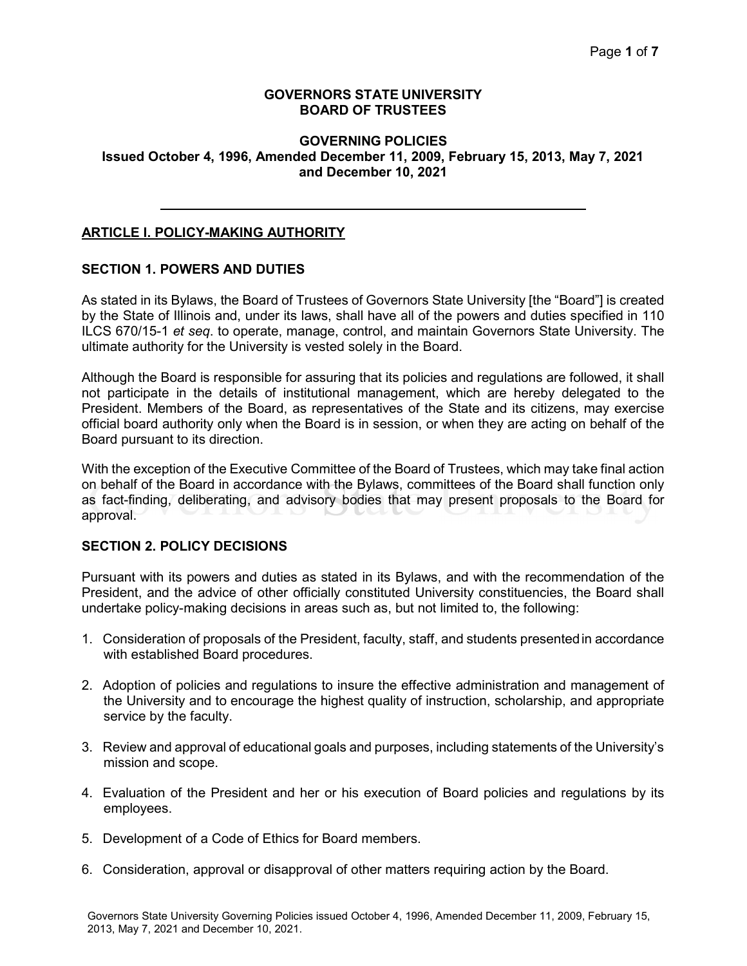#### GOVERNORS STATE UNIVERSITY BOARD OF TRUSTEES

### GOVERNING POLICIES Issued October 4, 1996, Amended December 11, 2009, February 15, 2013, May 7, 2021 and December 10, 2021

### ARTICLE I. POLICY-MAKING AUTHORITY

### SECTION 1. POWERS AND DUTIES

As stated in its Bylaws, the Board of Trustees of Governors State University [the "Board"] is created by the State of Illinois and, under its laws, shall have all of the powers and duties specified in 110 ILCS 670/15-1 et seq. to operate, manage, control, and maintain Governors State University. The ultimate authority for the University is vested solely in the Board.

Although the Board is responsible for assuring that its policies and regulations are followed, it shall not participate in the details of institutional management, which are hereby delegated to the President. Members of the Board, as representatives of the State and its citizens, may exercise official board authority only when the Board is in session, or when they are acting on behalf of the Board pursuant to its direction.

With the exception of the Executive Committee of the Board of Trustees, which may take final action on behalf of the Board in accordance with the Bylaws, committees of the Board shall function only as fact-finding, deliberating, and advisory bodies that may present proposals to the Board for approval.

### SECTION 2. POLICY DECISIONS

Pursuant with its powers and duties as stated in its Bylaws, and with the recommendation of the President, and the advice of other officially constituted University constituencies, the Board shall undertake policy-making decisions in areas such as, but not limited to, the following:

- 1. Consideration of proposals of the President, faculty, staff, and students presented in accordance with established Board procedures.
- 2. Adoption of policies and regulations to insure the effective administration and management of the University and to encourage the highest quality of instruction, scholarship, and appropriate service by the faculty.
- 3. Review and approval of educational goals and purposes, including statements of the University's mission and scope.
- 4. Evaluation of the President and her or his execution of Board policies and regulations by its employees.
- 5. Development of a Code of Ethics for Board members.
- 6. Consideration, approval or disapproval of other matters requiring action by the Board.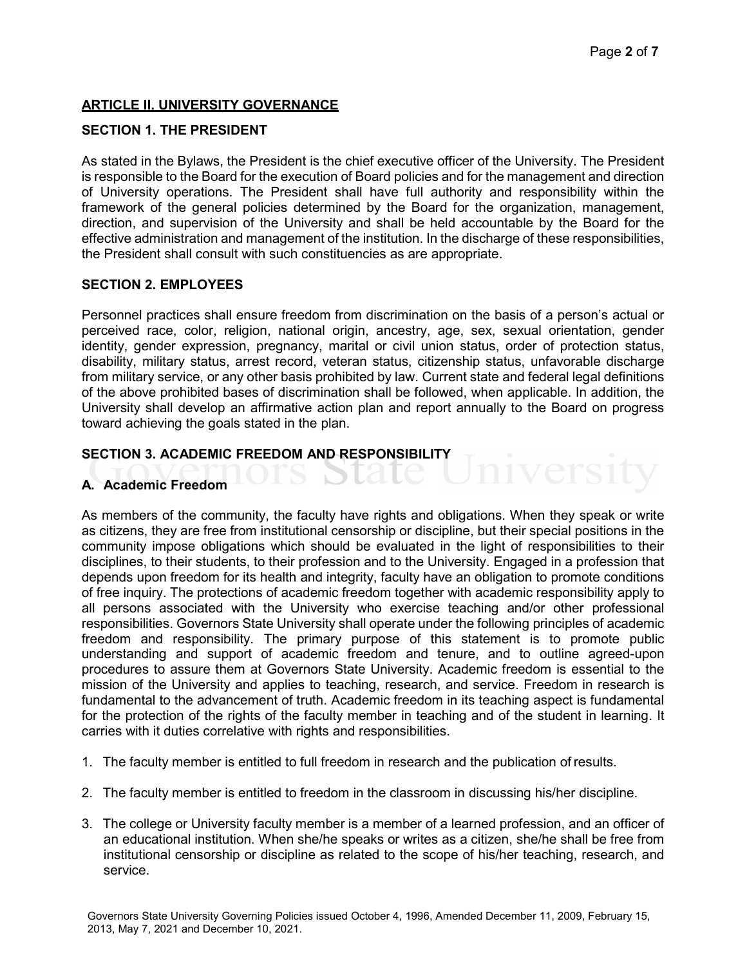### ARTICLE II. UNIVERSITY GOVERNANCE

#### SECTION 1. THE PRESIDENT

As stated in the Bylaws, the President is the chief executive officer of the University. The President is responsible to the Board for the execution of Board policies and for the management and direction of University operations. The President shall have full authority and responsibility within the framework of the general policies determined by the Board for the organization, management, direction, and supervision of the University and shall be held accountable by the Board for the effective administration and management of the institution. In the discharge of these responsibilities, the President shall consult with such constituencies as are appropriate.

#### SECTION 2. EMPLOYEES

Personnel practices shall ensure freedom from discrimination on the basis of a person's actual or perceived race, color, religion, national origin, ancestry, age, sex, sexual orientation, gender identity, gender expression, pregnancy, marital or civil union status, order of protection status, disability, military status, arrest record, veteran status, citizenship status, unfavorable discharge from military service, or any other basis prohibited by law. Current state and federal legal definitions of the above prohibited bases of discrimination shall be followed, when applicable. In addition, the University shall develop an affirmative action plan and report annually to the Board on progress toward achieving the goals stated in the plan.

#### SECTION 3. ACADEMIC FREEDOM AND RESPONSIBILITY

LS L

### A. Academic Freedom

As members of the community, the faculty have rights and obligations. When they speak or write as citizens, they are free from institutional censorship or discipline, but their special positions in the community impose obligations which should be evaluated in the light of responsibilities to their disciplines, to their students, to their profession and to the University. Engaged in a profession that depends upon freedom for its health and integrity, faculty have an obligation to promote conditions of free inquiry. The protections of academic freedom together with academic responsibility apply to all persons associated with the University who exercise teaching and/or other professional responsibilities. Governors State University shall operate under the following principles of academic freedom and responsibility. The primary purpose of this statement is to promote public understanding and support of academic freedom and tenure, and to outline agreed-upon procedures to assure them at Governors State University. Academic freedom is essential to the mission of the University and applies to teaching, research, and service. Freedom in research is fundamental to the advancement of truth. Academic freedom in its teaching aspect is fundamental for the protection of the rights of the faculty member in teaching and of the student in learning. It carries with it duties correlative with rights and responsibilities.

- 1. The faculty member is entitled to full freedom in research and the publication of results.
- 2. The faculty member is entitled to freedom in the classroom in discussing his/her discipline.
- 3. The college or University faculty member is a member of a learned profession, and an officer of an educational institution. When she/he speaks or writes as a citizen, she/he shall be free from institutional censorship or discipline as related to the scope of his/her teaching, research, and service.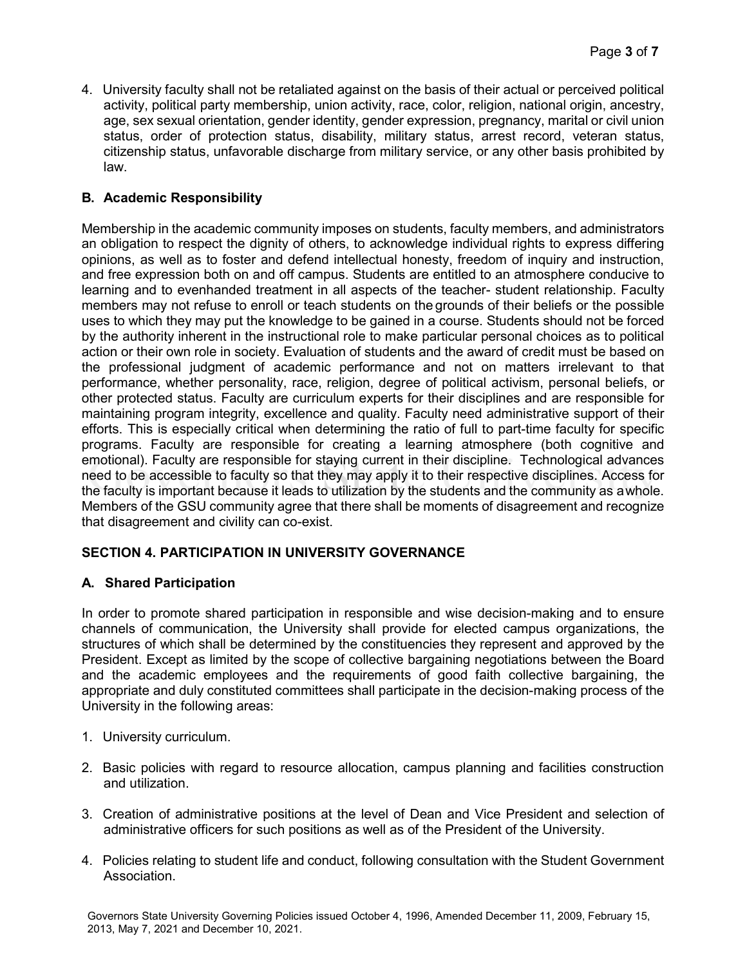4. University faculty shall not be retaliated against on the basis of their actual or perceived political activity, political party membership, union activity, race, color, religion, national origin, ancestry, age, sex sexual orientation, gender identity, gender expression, pregnancy, marital or civil union status, order of protection status, disability, military status, arrest record, veteran status, citizenship status, unfavorable discharge from military service, or any other basis prohibited by law.

# B. Academic Responsibility

Membership in the academic community imposes on students, faculty members, and administrators an obligation to respect the dignity of others, to acknowledge individual rights to express differing opinions, as well as to foster and defend intellectual honesty, freedom of inquiry and instruction, and free expression both on and off campus. Students are entitled to an atmosphere conducive to learning and to evenhanded treatment in all aspects of the teacher- student relationship. Faculty members may not refuse to enroll or teach students on the grounds of their beliefs or the possible uses to which they may put the knowledge to be gained in a course. Students should not be forced by the authority inherent in the instructional role to make particular personal choices as to political action or their own role in society. Evaluation of students and the award of credit must be based on the professional judgment of academic performance and not on matters irrelevant to that performance, whether personality, race, religion, degree of political activism, personal beliefs, or other protected status. Faculty are curriculum experts for their disciplines and are responsible for maintaining program integrity, excellence and quality. Faculty need administrative support of their efforts. This is especially critical when determining the ratio of full to part-time faculty for specific programs. Faculty are responsible for creating a learning atmosphere (both cognitive and emotional). Faculty are responsible for staying current in their discipline. Technological advances need to be accessible to faculty so that they may apply it to their respective disciplines. Access for the faculty is important because it leads to utilization by the students and the community as a whole. Members of the GSU community agree that there shall be moments of disagreement and recognize that disagreement and civility can co-exist.

# SECTION 4. PARTICIPATION IN UNIVERSITY GOVERNANCE

# A. Shared Participation

In order to promote shared participation in responsible and wise decision-making and to ensure channels of communication, the University shall provide for elected campus organizations, the structures of which shall be determined by the constituencies they represent and approved by the President. Except as limited by the scope of collective bargaining negotiations between the Board and the academic employees and the requirements of good faith collective bargaining, the appropriate and duly constituted committees shall participate in the decision-making process of the University in the following areas:

- 1. University curriculum.
- 2. Basic policies with regard to resource allocation, campus planning and facilities construction and utilization.
- 3. Creation of administrative positions at the level of Dean and Vice President and selection of administrative officers for such positions as well as of the President of the University.
- 4. Policies relating to student life and conduct, following consultation with the Student Government Association.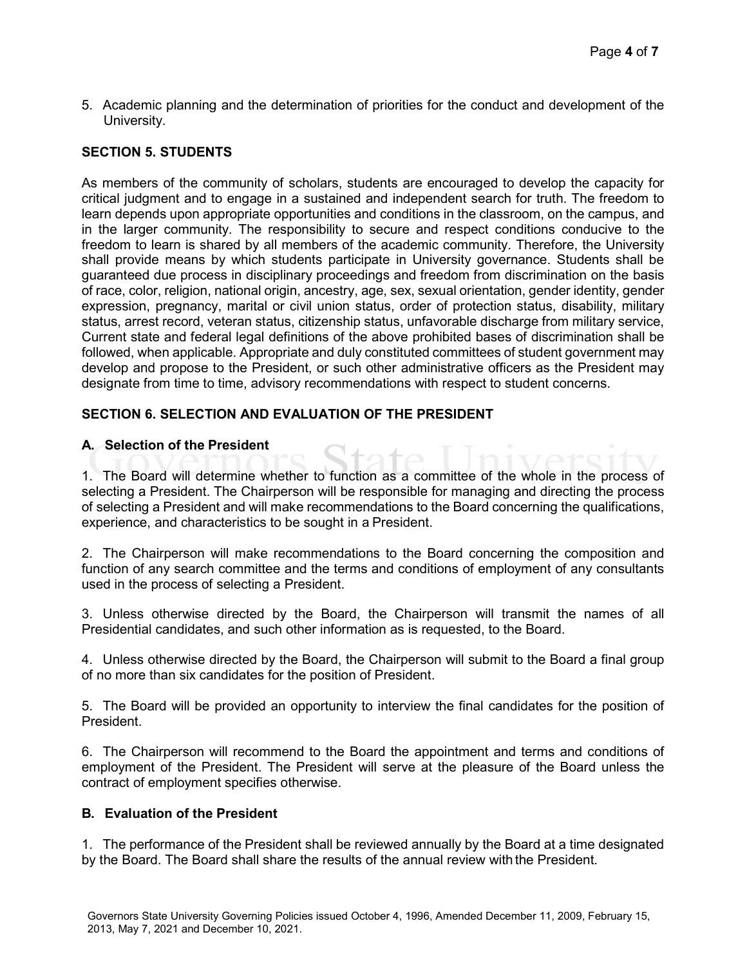5. Academic planning and the determination of priorities for the conduct and development of the University.

## SECTION 5. STUDENTS

As members of the community of scholars, students are encouraged to develop the capacity for critical judgment and to engage in a sustained and independent search for truth. The freedom to learn depends upon appropriate opportunities and conditions in the classroom, on the campus, and in the larger community. The responsibility to secure and respect conditions conducive to the freedom to learn is shared by all members of the academic community. Therefore, the University shall provide means by which students participate in University governance. Students shall be guaranteed due process in disciplinary proceedings and freedom from discrimination on the basis of race, color, religion, national origin, ancestry, age, sex, sexual orientation, gender identity, gender expression, pregnancy, marital or civil union status, order of protection status, disability, military status, arrest record, veteran status, citizenship status, unfavorable discharge from military service, Current state and federal legal definitions of the above prohibited bases of discrimination shall be followed, when applicable. Appropriate and duly constituted committees of student government may develop and propose to the President, or such other administrative officers as the President may designate from time to time, advisory recommendations with respect to student concerns.

## SECTION 6. SELECTION AND EVALUATION OF THE PRESIDENT

### A. Selection of the President

1. The Board will determine whether to function as a committee of the whole in the process of selecting a President. The Chairperson will be responsible for managing and directing the process of selecting a President and will make recommendations to the Board concerning the qualifications, experience, and characteristics to be sought in a President.

 $\pm$ ate

2. The Chairperson will make recommendations to the Board concerning the composition and function of any search committee and the terms and conditions of employment of any consultants used in the process of selecting a President.

3. Unless otherwise directed by the Board, the Chairperson will transmit the names of all Presidential candidates, and such other information as is requested, to the Board.

4. Unless otherwise directed by the Board, the Chairperson will submit to the Board a final group of no more than six candidates for the position of President.

5. The Board will be provided an opportunity to interview the final candidates for the position of President.

6. The Chairperson will recommend to the Board the appointment and terms and conditions of employment of the President. The President will serve at the pleasure of the Board unless the contract of employment specifies otherwise.

### B. Evaluation of the President

1. The performance of the President shall be reviewed annually by the Board at a time designated by the Board. The Board shall share the results of the annual review with the President.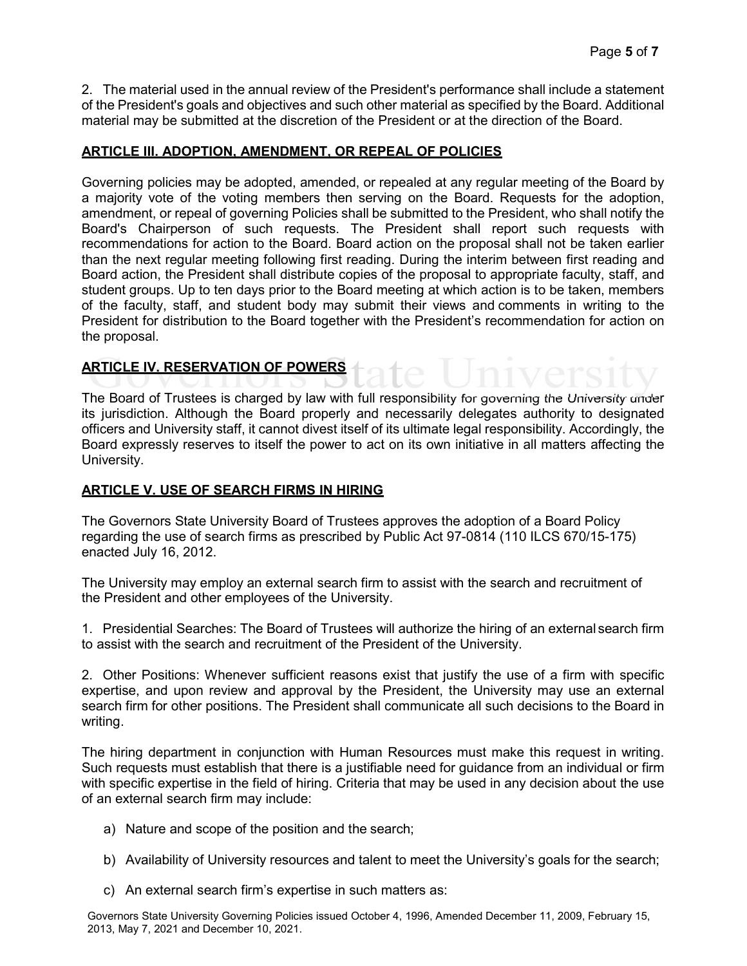2. The material used in the annual review of the President's performance shall include a statement of the President's goals and objectives and such other material as specified by the Board. Additional material may be submitted at the discretion of the President or at the direction of the Board.

### ARTICLE III. ADOPTION, AMENDMENT, OR REPEAL OF POLICIES

Governing policies may be adopted, amended, or repealed at any regular meeting of the Board by a majority vote of the voting members then serving on the Board. Requests for the adoption, amendment, or repeal of governing Policies shall be submitted to the President, who shall notify the Board's Chairperson of such requests. The President shall report such requests with recommendations for action to the Board. Board action on the proposal shall not be taken earlier than the next regular meeting following first reading. During the interim between first reading and Board action, the President shall distribute copies of the proposal to appropriate faculty, staff, and student groups. Up to ten days prior to the Board meeting at which action is to be taken, members of the faculty, staff, and student body may submit their views and comments in writing to the President for distribution to the Board together with the President's recommendation for action on the proposal.

# ARTICLE IV. RESERVATION OF POWERS

The Board of Trustees is charged by law with full responsibility for governing the University under its jurisdiction. Although the Board properly and necessarily delegates authority to designated officers and University staff, it cannot divest itself of its ultimate legal responsibility. Accordingly, the Board expressly reserves to itself the power to act on its own initiative in all matters affecting the University.

### ARTICLE V. USE OF SEARCH FIRMS IN HIRING

The Governors State University Board of Trustees approves the adoption of a Board Policy regarding the use of search firms as prescribed by Public Act 97-0814 (110 ILCS 670/15-175) enacted July 16, 2012.

The University may employ an external search firm to assist with the search and recruitment of the President and other employees of the University.

1. Presidential Searches: The Board of Trustees will authorize the hiring of an external search firm to assist with the search and recruitment of the President of the University.

2. Other Positions: Whenever sufficient reasons exist that justify the use of a firm with specific expertise, and upon review and approval by the President, the University may use an external search firm for other positions. The President shall communicate all such decisions to the Board in writing.

The hiring department in conjunction with Human Resources must make this request in writing. Such requests must establish that there is a justifiable need for guidance from an individual or firm with specific expertise in the field of hiring. Criteria that may be used in any decision about the use of an external search firm may include:

- a) Nature and scope of the position and the search;
- b) Availability of University resources and talent to meet the University's goals for the search;
- c) An external search firm's expertise in such matters as:

Governors State University Governing Policies issued October 4, 1996, Amended December 11, 2009, February 15, 2013, May 7, 2021 and December 10, 2021.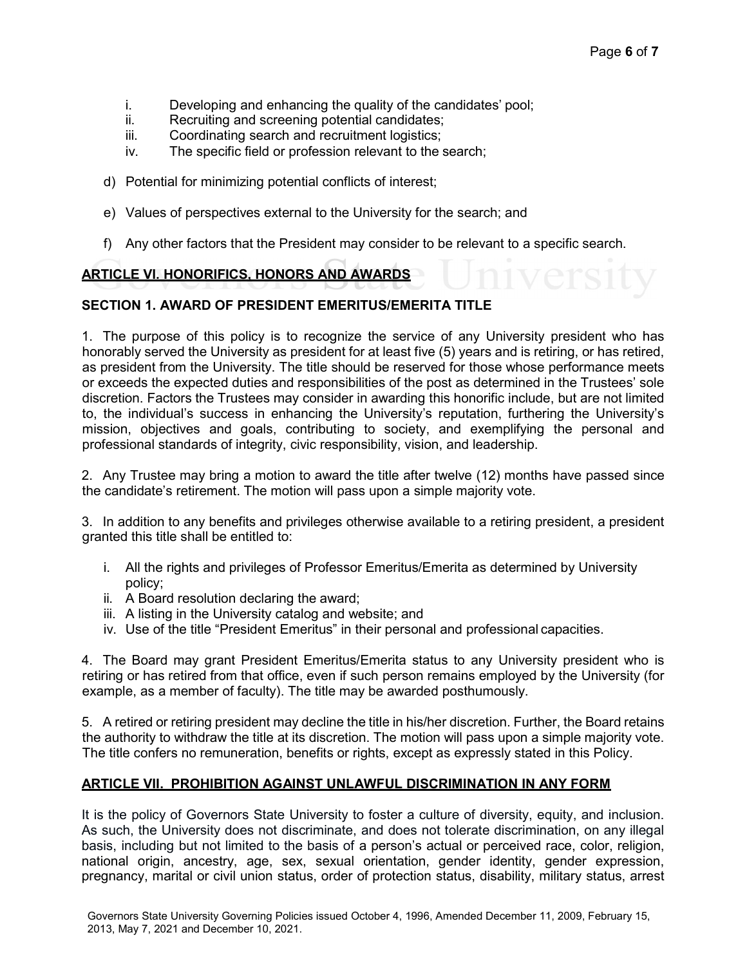- i. Developing and enhancing the quality of the candidates' pool;
- ii. Recruiting and screening potential candidates;
- iii. Coordinating search and recruitment logistics;
- iv. The specific field or profession relevant to the search;
- d) Potential for minimizing potential conflicts of interest;
- e) Values of perspectives external to the University for the search; and
- f) Any other factors that the President may consider to be relevant to a specific search.

# ARTICLE VI. HONORIFICS, HONORS AND AWARDS

### SECTION 1. AWARD OF PRESIDENT EMERITUS/EMERITA TITLE

1. The purpose of this policy is to recognize the service of any University president who has honorably served the University as president for at least five (5) years and is retiring, or has retired, as president from the University. The title should be reserved for those whose performance meets or exceeds the expected duties and responsibilities of the post as determined in the Trustees' sole discretion. Factors the Trustees may consider in awarding this honorific include, but are not limited to, the individual's success in enhancing the University's reputation, furthering the University's mission, objectives and goals, contributing to society, and exemplifying the personal and professional standards of integrity, civic responsibility, vision, and leadership.

2. Any Trustee may bring a motion to award the title after twelve (12) months have passed since the candidate's retirement. The motion will pass upon a simple majority vote.

3. In addition to any benefits and privileges otherwise available to a retiring president, a president granted this title shall be entitled to:

- i. All the rights and privileges of Professor Emeritus/Emerita as determined by University policy;
- ii. A Board resolution declaring the award;
- iii. A listing in the University catalog and website; and
- iv. Use of the title "President Emeritus" in their personal and professional capacities.

4. The Board may grant President Emeritus/Emerita status to any University president who is retiring or has retired from that office, even if such person remains employed by the University (for example, as a member of faculty). The title may be awarded posthumously.

5. A retired or retiring president may decline the title in his/her discretion. Further, the Board retains the authority to withdraw the title at its discretion. The motion will pass upon a simple majority vote. The title confers no remuneration, benefits or rights, except as expressly stated in this Policy.

#### ARTICLE VII. PROHIBITION AGAINST UNLAWFUL DISCRIMINATION IN ANY FORM

It is the policy of Governors State University to foster a culture of diversity, equity, and inclusion. As such, the University does not discriminate, and does not tolerate discrimination, on any illegal basis, including but not limited to the basis of a person's actual or perceived race, color, religion, national origin, ancestry, age, sex, sexual orientation, gender identity, gender expression, pregnancy, marital or civil union status, order of protection status, disability, military status, arrest